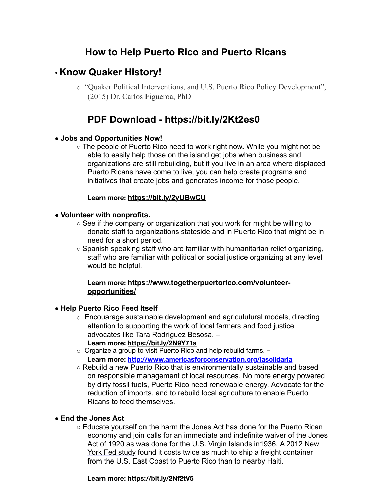## **How to Help Puerto Rico and Puerto Ricans**

## • **Know Quaker History!**

o "Quaker Political Interventions, and U.S. Puerto Rico Policy Development", (2015) Dr. Carlos Figueroa, PhD

# **PDF Download - https://bit.ly/2Kt2es0**

## ● **Jobs and Opportunities Now!**

○ The people of Puerto Rico need to work right now. While you might not be able to easily help those on the island get jobs when business and organizations are still rebuilding, but if you live in an area where displaced Puerto Ricans have come to live, you can help create programs and initiatives that create jobs and generates income for those people.

## **Learn more: https://bit.ly/2yUBwCU**

## ● **Volunteer with nonprofits.**

- $\circ$  See if the company or organization that you work for might be willing to donate staff to organizations stateside and in Puerto Rico that might be in need for a short period.
- $\circ$  Spanish speaking staff who are familiar with humanitarian relief organizing, staff who are familiar with political or social justice organizing at any level would be helpful.

#### **Learn more: https://www.togetherpuertorico.com/volunteeropportunities/**

## ● **Help Puerto Rico Feed Itself**

- o Encouarage sustainable development and agriculutural models, directing attention to supporting the work of local farmers and food justice advocates like Tara Rodríguez Besosa. – **Learn more: https://bit.ly/2N9Y71s**
- o Organize a group to visit Puerto Rico and help rebuild farms. **Learn more: http://www.americasforconservation.org/lasolidaria**
- Rebuild a new Puerto Rico that is environmentally sustainable and based on responsible management of local resources. No more energy powered by dirty fossil fuels, Puerto Rico need renewable energy. Advocate for the reduction of imports, and to rebuild local agriculture to enable Puerto Ricans to feed themselves.

## ● **End the Jones Act**

○ Educate yourself on the harm the Jones Act has done for the Puerto Rican economy and join calls for an immediate and indefinite waiver of the Jones Act of 1920 as was done for the U.S. Virgin Islands in1936. A 2012 New York Fed study found it costs twice as much to ship a freight container from the U.S. East Coast to Puerto Rico than to nearby Haiti.